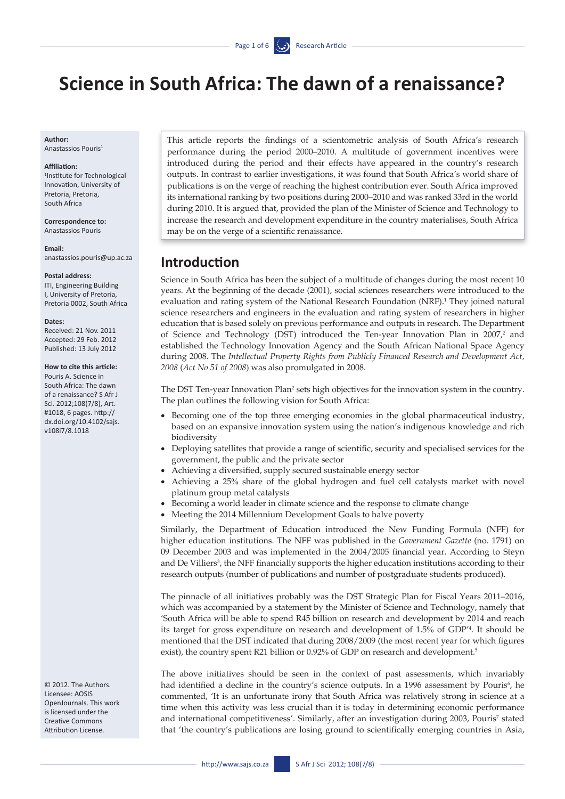# **Science in South Africa: The dawn of a renaissance?**

**Author:**  Anastassios Pouris1

#### **Affiliation:**

1 Institute for Technological Innovation, University of Pretoria, Pretoria, South Africa

**Correspondence to:**  Anastassios Pouris

#### **Email:**

anastassios.pouris@up.ac.za

#### **Postal address:**

ITI, Engineering Building I, University of Pretoria, Pretoria 0002, South Africa

#### **Dates:**

Received: 21 Nov. 2011 Accepted: 29 Feb. 2012 Published: 13 July 2012

### **How to cite this article:**

Pouris A. Science in South Africa: The dawn of a renaissance? S Afr J Sci. 2012;108(7/8), Art. #1018, 6 pages. [http://](http://dx.doi.org/10.4102/sajs.v108i7/8.1018 ) [dx.doi.org/10.4102/sajs.](http://dx.doi.org/10.4102/sajs.v108i7/8.1018 ) [v108i7/8.1018](http://dx.doi.org/10.4102/sajs.v108i7/8.1018 )

© 2012. The Authors. Licensee: AOSIS OpenJournals. This work is licensed under the Creative Commons Attribution License.

This article reports the findings of a scientometric analysis of South Africa's research performance during the period 2000–2010. A multitude of government incentives were introduced during the period and their effects have appeared in the country's research outputs. In contrast to earlier investigations, it was found that South Africa's world share of publications is on the verge of reaching the highest contribution ever. South Africa improved its international ranking by two positions during 2000–2010 and was ranked 33rd in the world during 2010. It is argued that, provided the plan of the Minister of Science and Technology to increase the research and development expenditure in the country materialises, South Africa may be on the verge of a scientific renaissance.

### **Introduction**

Science in South Africa has been the subject of a multitude of changes during the most recent 10 years. At the beginning of the decade (2001), social sciences researchers were introduced to the evaluation and rating system of the National Research Foundation (NRF).<sup>1</sup> They joined natural science researchers and engineers in the evaluation and rating system of researchers in higher education that is based solely on previous performance and outputs in research. The Department of Science and Technology (DST) introduced the Ten-year Innovation Plan in  $2007<sup>2</sup>$  and established the Technology Innovation Agency and the South African National Space Agency during 2008. The *Intellectual Property Rights from Publicly Financed Research and Development Act, 2008* (*Act No 51 of 2008*) was also promulgated in 2008.

The DST Ten-year Innovation Plan<sup>2</sup> sets high objectives for the innovation system in the country. The plan outlines the following vision for South Africa:

- Becoming one of the top three emerging economies in the global pharmaceutical industry, based on an expansive innovation system using the nation's indigenous knowledge and rich biodiversity
- Deploying satellites that provide a range of scientific, security and specialised services for the government, the public and the private sector
- • Achieving a diversified, supply secured sustainable energy sector
- • Achieving a 25% share of the global hydrogen and fuel cell catalysts market with novel platinum group metal catalysts
- Becoming a world leader in climate science and the response to climate change
- Meeting the 2014 Millennium Development Goals to halve poverty

Similarly, the Department of Education introduced the New Funding Formula (NFF) for higher education institutions. The NFF was published in the *Government Gazette* (no. 1791) on 09 December 2003 and was implemented in the 2004/2005 financial year. According to Steyn and De Villiers<sup>3</sup>, the NFF financially supports the higher education institutions according to their research outputs (number of publications and number of postgraduate students produced).

The pinnacle of all initiatives probably was the DST Strategic Plan for Fiscal Years 2011–2016, which was accompanied by a statement by the Minister of Science and Technology, namely that 'South Africa will be able to spend R45 billion on research and development by 2014 and reach its target for gross expenditure on research and development of 1.5% of GDP'4 . It should be mentioned that the DST indicated that during 2008/2009 (the most recent year for which figures exist), the country spent R21 billion or 0.92% of GDP on research and development.<sup>5</sup>

The above initiatives should be seen in the context of past assessments, which invariably had identified a decline in the country's science outputs. In a 1996 assessment by Pouris<sup>6</sup>, he commented, 'It is an unfortunate irony that South Africa was relatively strong in science at a time when this activity was less crucial than it is today in determining economic performance and international competitiveness'. Similarly, after an investigation during 2003, Pouris<sup>7</sup> stated that 'the country's publications are losing ground to scientifically emerging countries in Asia,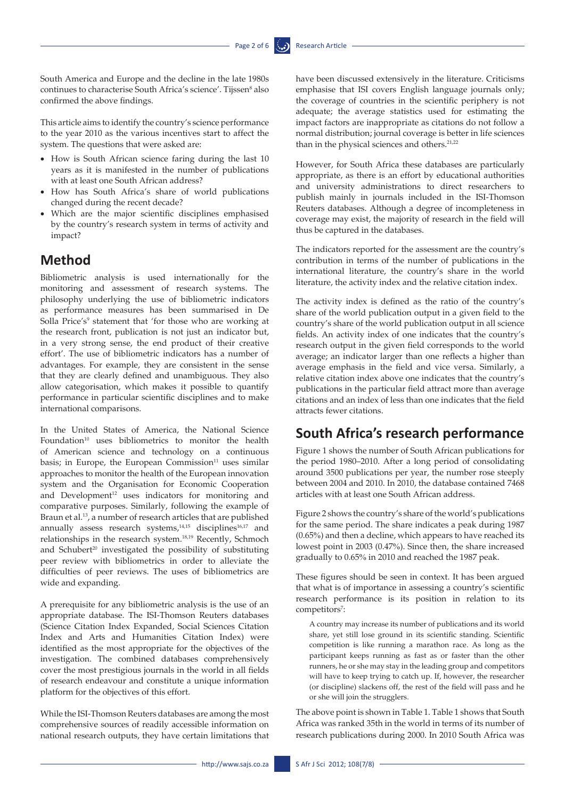South America and Europe and the decline in the late 1980s continues to characterise South Africa's science'. Tijssen<sup>8</sup> also confirmed the above findings.

This article aims to identify the country's science performance to the year 2010 as the various incentives start to affect the system. The questions that were asked are:

- How is South African science faring during the last 10 years as it is manifested in the number of publications with at least one South African address?
- • How has South Africa's share of world publications changed during the recent decade?
- • Which are the major scientific disciplines emphasised by the country's research system in terms of activity and impact?

### **Method**

Bibliometric analysis is used internationally for the monitoring and assessment of research systems. The philosophy underlying the use of bibliometric indicators as performance measures has been summarised in De Solla Price's<sup>9</sup> statement that 'for those who are working at the research front, publication is not just an indicator but, in a very strong sense, the end product of their creative effort'. The use of bibliometric indicators has a number of advantages. For example, they are consistent in the sense that they are clearly defined and unambiguous. They also allow categorisation, which makes it possible to quantify performance in particular scientific disciplines and to make international comparisons.

In the United States of America, the National Science Foundation<sup>10</sup> uses bibliometrics to monitor the health of American science and technology on a continuous basis; in Europe, the European Commission $11$  uses similar approaches to monitor the health of the European innovation system and the Organisation for Economic Cooperation and Development<sup>12</sup> uses indicators for monitoring and comparative purposes. Similarly, following the example of Braun et al.13, a number of research articles that are published annually assess research systems,<sup>14,15</sup> disciplines<sup>16,17</sup> and relationships in the research system.18,19 Recently, Schmoch and Schubert<sup>20</sup> investigated the possibility of substituting peer review with bibliometrics in order to alleviate the difficulties of peer reviews. The uses of bibliometrics are wide and expanding.

A prerequisite for any bibliometric analysis is the use of an appropriate database. The ISI-Thomson Reuters databases (Science Citation Index Expanded, Social Sciences Citation Index and Arts and Humanities Citation Index) were identified as the most appropriate for the objectives of the investigation. The combined databases comprehensively cover the most prestigious journals in the world in all fields of research endeavour and constitute a unique information platform for the objectives of this effort.

While the ISI-Thomson Reuters databases are among the most comprehensive sources of readily accessible information on national research outputs, they have certain limitations that

have been discussed extensively in the literature. Criticisms emphasise that ISI covers English language journals only; the coverage of countries in the scientific periphery is not adequate; the average statistics used for estimating the impact factors are inappropriate as citations do not follow a normal distribution; journal coverage is better in life sciences than in the physical sciences and others.<sup>21,22</sup>

However, for South Africa these databases are particularly appropriate, as there is an effort by educational authorities and university administrations to direct researchers to publish mainly in journals included in the ISI-Thomson Reuters databases. Although a degree of incompleteness in coverage may exist, the majority of research in the field will thus be captured in the databases.

The indicators reported for the assessment are the country's contribution in terms of the number of publications in the international literature, the country's share in the world literature, the activity index and the relative citation index.

The activity index is defined as the ratio of the country's share of the world publication output in a given field to the country's share of the world publication output in all science fields. An activity index of one indicates that the country's research output in the given field corresponds to the world average; an indicator larger than one reflects a higher than average emphasis in the field and vice versa. Similarly, a relative citation index above one indicates that the country's publications in the particular field attract more than average citations and an index of less than one indicates that the field attracts fewer citations.

## **South Africa's research performance**

Figure 1 shows the number of South African publications for the period 1980–2010. After a long period of consolidating around 3500 publications per year, the number rose steeply between 2004 and 2010. In 2010, the database contained 7468 articles with at least one South African address.

Figure 2 shows the country's share of the world's publications for the same period. The share indicates a peak during 1987 (0.65%) and then a decline, which appears to have reached its lowest point in 2003 (0.47%). Since then, the share increased gradually to 0.65% in 2010 and reached the 1987 peak.

These figures should be seen in context. It has been argued that what is of importance in assessing a country's scientific research performance is its position in relation to its competitors<sup>7</sup>:

A country may increase its number of publications and its world share, yet still lose ground in its scientific standing. Scientific competition is like running a marathon race. As long as the participant keeps running as fast as or faster than the other runners, he or she may stay in the leading group and competitors will have to keep trying to catch up. If, however, the researcher (or discipline) slackens off, the rest of the field will pass and he or she will join the strugglers.

The above point is shown in Table 1. Table 1 shows that South Africa was ranked 35th in the world in terms of its number of research publications during 2000. In 2010 South Africa was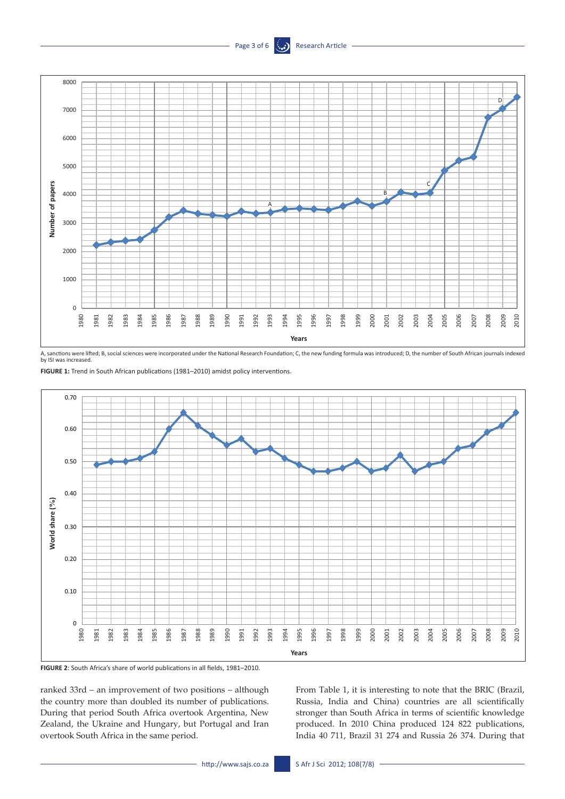



A, sanctions were lifted; B, social sciences were incorporated under the National Research Foundation; C, the new funding formula was introduced; D, the number of South African journals indexed by ISI was increased.



**FIGURE 2**: South Africa's share of world publications in all fields, 1981–2010.

ranked 33rd – an improvement of two positions – although the country more than doubled its number of publications. During that period South Africa overtook Argentina, New Zealand, the Ukraine and Hungary, but Portugal and Iran overtook South Africa in the same period.

From Table 1, it is interesting to note that the BRIC (Brazil, Russia, India and China) countries are all scientifically stronger than South Africa in terms of scientific knowledge produced. In 2010 China produced 124 822 publications, India 40 711, Brazil 31 274 and Russia 26 374. During that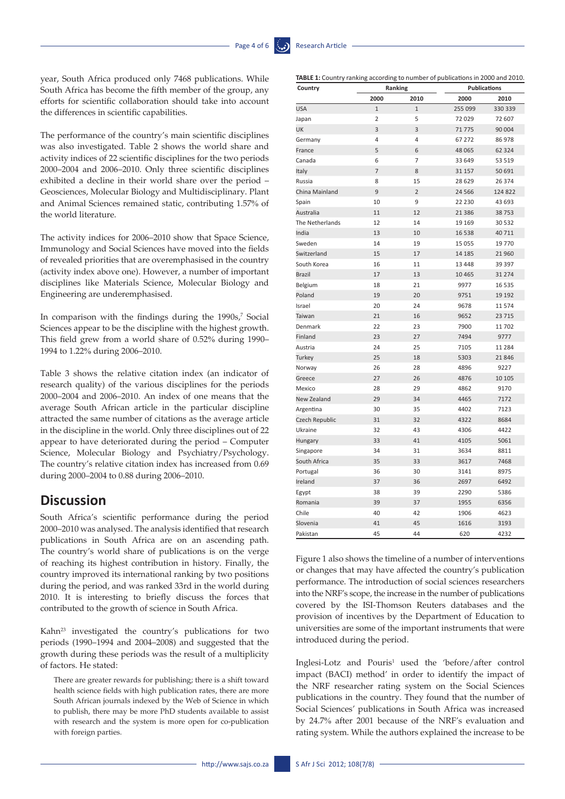year, South Africa produced only 7468 publications. While South Africa has become the fifth member of the group, any efforts for scientific collaboration should take into account the differences in scientific capabilities.

The performance of the country's main scientific disciplines was also investigated. Table 2 shows the world share and activity indices of 22 scientific disciplines for the two periods 2000–2004 and 2006–2010. Only three scientific disciplines exhibited a decline in their world share over the period – Geosciences, Molecular Biology and Multidisciplinary. Plant and Animal Sciences remained static, contributing 1.57% of the world literature.

The activity indices for 2006–2010 show that Space Science, Immunology and Social Sciences have moved into the fields of revealed priorities that are overemphasised in the country (activity index above one). However, a number of important disciplines like Materials Science, Molecular Biology and Engineering are underemphasised.

In comparison with the findings during the 1990s,<sup>7</sup> Social Sciences appear to be the discipline with the highest growth. This field grew from a world share of 0.52% during 1990– 1994 to 1.22% during 2006–2010.

Table 3 shows the relative citation index (an indicator of research quality) of the various disciplines for the periods 2000–2004 and 2006–2010. An index of one means that the average South African article in the particular discipline attracted the same number of citations as the average article in the discipline in the world. Only three disciplines out of 22 appear to have deteriorated during the period – Computer Science, Molecular Biology and Psychiatry/Psychology. The country's relative citation index has increased from 0.69 during 2000–2004 to 0.88 during 2006–2010.

### **Discussion**

South Africa's scientific performance during the period 2000–2010 was analysed. The analysis identified that research publications in South Africa are on an ascending path. The country's world share of publications is on the verge of reaching its highest contribution in history. Finally, the country improved its international ranking by two positions during the period, and was ranked 33rd in the world during 2010. It is interesting to briefly discuss the forces that contributed to the growth of science in South Africa.

Kahn23 investigated the country's publications for two periods (1990–1994 and 2004–2008) and suggested that the growth during these periods was the result of a multiplicity of factors. He stated:

There are greater rewards for publishing; there is a shift toward health science fields with high publication rates, there are more South African journals indexed by the Web of Science in which to publish, there may be more PhD students available to assist with research and the system is more open for co-publication with foreign parties.

| Country            | Ranking        |                |          | Publications |  |  |
|--------------------|----------------|----------------|----------|--------------|--|--|
|                    | 2000           | 2010           | 2000     | 2010         |  |  |
| <b>USA</b>         | $\overline{1}$ | $\overline{1}$ | 255 099  | 330 339      |  |  |
| Japan              | $\overline{2}$ | 5              | 72 029   | 72 607       |  |  |
| UK                 | 3              | 3              | 71775    | 90 004       |  |  |
| Germany            | 4              | 4              | 67 272   | 86 978       |  |  |
| France             | 5              | 6              | 48 065   | 62 3 24      |  |  |
| Canada             | 6              | 7              | 33 649   | 53 519       |  |  |
| Italy              | $\overline{7}$ | 8              | 31 157   | 50 691       |  |  |
| Russia             | 8              | 15             | 28 6 29  | 26 374       |  |  |
| China Mainland     | 9              | $\overline{2}$ | 24 5 66  | 124 822      |  |  |
| Spain              | 10             | 9              | 22 2 30  | 43 693       |  |  |
| Australia          | 11             | 12             | 21 3 8 6 | 38753        |  |  |
| The Netherlands    | 12             | 14             | 19 16 9  | 30 532       |  |  |
| India              | 13             | 10             | 16 5 38  | 40711        |  |  |
| Sweden             | 14             | 19             | 15 0 55  | 19 770       |  |  |
| Switzerland        | 15             | 17             | 14 185   | 21 960       |  |  |
| South Korea        | 16             | 11             | 13 4 48  | 39 397       |  |  |
| <b>Brazil</b>      | 17             | 13             | 10 4 65  | 31 274       |  |  |
| Belgium            | 18             | 21             | 9977     | 16 5 35      |  |  |
| Poland             | 19             | 20             | 9751     | 19 19 2      |  |  |
| Israel             | 20             | 24             | 9678     | 11574        |  |  |
| Taiwan             | 21             | 16             | 9652     | 23 715       |  |  |
| Denmark            | 22             | 23             | 7900     | 11702        |  |  |
| Finland            | 23             | 27             | 7494     | 9777         |  |  |
| Austria            | 24             | 25             | 7105     | 11 284       |  |  |
| Turkey             | 25             | 18             | 5303     | 21 846       |  |  |
| Norway             | 26             | 28             | 4896     | 9227         |  |  |
| Greece             | 27             | 26             | 4876     | 10 10 5      |  |  |
| Mexico             | 28             | 29             | 4862     | 9170         |  |  |
| <b>New Zealand</b> | 29             | 34             | 4465     | 7172         |  |  |
| Argentina          | 30             | 35             | 4402     | 7123         |  |  |
| Czech Republic     | 31             | 32             | 4322     | 8684         |  |  |
| Ukraine            | 32             | 43             | 4306     | 4422         |  |  |
| Hungary            | 33             | 41             | 4105     | 5061         |  |  |
| Singapore          | 34             | 31             | 3634     | 8811         |  |  |
| South Africa       | 35             | 33             | 3617     | 7468         |  |  |
| Portugal           | 36             | 30             | 3141     | 8975         |  |  |
| Ireland            | 37             | 36             | 2697     | 6492         |  |  |
| Egypt              | 38             | 39             | 2290     | 5386         |  |  |
| Romania            | 39             | 37             | 1955     | 6356         |  |  |
| Chile              | 40             | 42             | 1906     | 4623         |  |  |
| Slovenia           | 41             | 45             | 1616     | 3193         |  |  |
| Pakistan           | 45             | 44             | 620      | 4232         |  |  |

Figure 1 also shows the timeline of a number of interventions or changes that may have affected the country's publication performance. The introduction of social sciences researchers into the NRF's scope, the increase in the number of publications covered by the ISI-Thomson Reuters databases and the provision of incentives by the Department of Education to universities are some of the important instruments that were introduced during the period.

Inglesi-Lotz and Pouris<sup>1</sup> used the 'before/after control impact (BACI) method' in order to identify the impact of the NRF researcher rating system on the Social Sciences publications in the country. They found that the number of Social Sciences' publications in South Africa was increased by 24.7% after 2001 because of the NRF's evaluation and rating system. While the authors explained the increase to be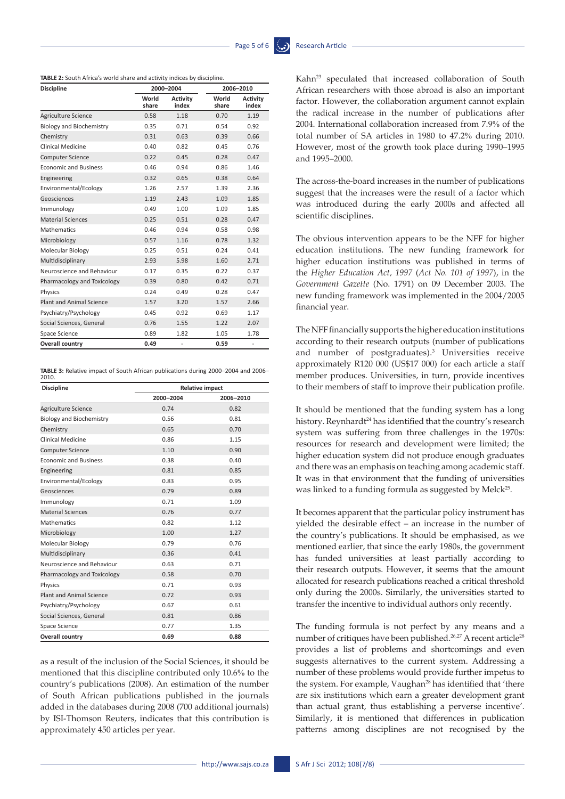#### **TABLE 2:** South Africa's world share and activity indices by discipline.

| <b>Discipline</b>               | 2000-2004      |                          | 2006-2010      |                              |
|---------------------------------|----------------|--------------------------|----------------|------------------------------|
|                                 | World<br>share | <b>Activity</b><br>index | World<br>share | <b>Activity</b><br>index     |
| Agriculture Science             | 0.58           | 1.18                     | 0.70           | 1.19                         |
| <b>Biology and Biochemistry</b> | 0.35           | 0.71                     | 0.54           | 0.92                         |
| Chemistry                       | 0.31           | 0.63                     | 0.39           | 0.66                         |
| Clinical Medicine               | 0.40           | 0.82                     | 0.45           | 0.76                         |
| <b>Computer Science</b>         | 0.22           | 0.45                     | 0.28           | 0.47                         |
| <b>Economic and Business</b>    | 0.46           | 0.94                     | 0.86           | 1.46                         |
| Engineering                     | 0.32           | 0.65                     | 0.38           | 0.64                         |
| Environmental/Ecology           | 1.26           | 2.57                     | 1.39           | 2.36                         |
| Geosciences                     | 1.19           | 2.43                     | 1.09           | 1.85                         |
| Immunology                      | 0.49           | 1.00                     | 1.09           | 1.85                         |
| <b>Material Sciences</b>        | 0.25           | 0.51                     | 0.28           | 0.47                         |
| <b>Mathematics</b>              | 0.46           | 0.94                     | 0.58           | 0.98                         |
| Microbiology                    | 0.57           | 1.16                     | 0.78           | 1.32                         |
| Molecular Biology               | 0.25           | 0.51                     | 0.24           | 0.41                         |
| Multidisciplinary               | 2.93           | 5.98                     | 1.60           | 2.71                         |
| Neuroscience and Behaviour      | 0.17           | 0.35                     | 0.22           | 0.37                         |
| Pharmacology and Toxicology     | 0.39           | 0.80                     | 0.42           | 0.71                         |
| Physics                         | 0.24           | 0.49                     | 0.28           | 0.47                         |
| <b>Plant and Animal Science</b> | 1.57           | 3.20                     | 1.57           | 2.66                         |
| Psychiatry/Psychology           | 0.45           | 0.92                     | 0.69           | 1.17                         |
| Social Sciences, General        | 0.76           | 1.55                     | 1.22           | 2.07                         |
| Space Science                   | 0.89           | 1.82                     | 1.05           | 1.78                         |
| <b>Overall country</b>          | 0.49           | -                        | 0.59           | $\qquad \qquad \blacksquare$ |

**TABLE 3:** Relative impact of South African publications during 2000–2004 and 2006– 2010.

| <b>Discipline</b>               | <b>Relative impact</b> |           |  |  |
|---------------------------------|------------------------|-----------|--|--|
|                                 | 2000-2004              | 2006-2010 |  |  |
| Agriculture Science             | 0.74                   | 0.82      |  |  |
| <b>Biology and Biochemistry</b> | 0.56                   | 0.81      |  |  |
| Chemistry                       | 0.65                   | 0.70      |  |  |
| Clinical Medicine               | 0.86                   | 1.15      |  |  |
| <b>Computer Science</b>         | 1.10                   | 0.90      |  |  |
| <b>Economic and Business</b>    | 0.38                   | 0.40      |  |  |
| Engineering                     | 0.81                   | 0.85      |  |  |
| Environmental/Ecology           | 0.83                   | 0.95      |  |  |
| Geosciences                     | 0.79                   | 0.89      |  |  |
| Immunology                      | 0.71                   | 1.09      |  |  |
| <b>Material Sciences</b>        | 0.76                   | 0.77      |  |  |
| <b>Mathematics</b>              | 0.82                   | 1.12      |  |  |
| Microbiology                    | 1.00                   | 1.27      |  |  |
| Molecular Biology               | 0.79                   | 0.76      |  |  |
| Multidisciplinary               | 0.36                   | 0.41      |  |  |
| Neuroscience and Behaviour      | 0.63                   | 0.71      |  |  |
| Pharmacology and Toxicology     | 0.58                   | 0.70      |  |  |
| Physics                         | 0.71                   | 0.93      |  |  |
| <b>Plant and Animal Science</b> | 0.72                   | 0.93      |  |  |
| Psychiatry/Psychology           | 0.67                   | 0.61      |  |  |
| Social Sciences, General        | 0.81                   | 0.86      |  |  |
| Space Science                   | 0.77                   | 1.35      |  |  |
| <b>Overall country</b>          | 0.69                   | 0.88      |  |  |

as a result of the inclusion of the Social Sciences, it should be mentioned that this discipline contributed only 10.6% to the country's publications (2008). An estimation of the number of South African publications published in the journals added in the databases during 2008 (700 additional journals) by ISI-Thomson Reuters, indicates that this contribution is approximately 450 articles per year.

Kahn<sup>23</sup> speculated that increased collaboration of South African researchers with those abroad is also an important factor. However, the collaboration argument cannot explain the radical increase in the number of publications after 2004. International collaboration increased from 7.9% of the total number of SA articles in 1980 to 47.2% during 2010. However, most of the growth took place during 1990–1995 and 1995–2000.

The across-the-board increases in the number of publications suggest that the increases were the result of a factor which was introduced during the early 2000s and affected all scientific disciplines.

The obvious intervention appears to be the NFF for higher education institutions. The new funding framework for higher education institutions was published in terms of the *Higher Education Act, 1997* (*Act No. 101 of 1997*), in the *Government Gazette* (No. 1791) on 09 December 2003. The new funding framework was implemented in the 2004/2005 financial year.

The NFF financially supports the higher education institutions according to their research outputs (number of publications and number of postgraduates).3 Universities receive approximately R120 000 (US\$17 000) for each article a staff member produces. Universities, in turn, provide incentives to their members of staff to improve their publication profile.

It should be mentioned that the funding system has a long history. Reynhardt<sup>24</sup> has identified that the country's research system was suffering from three challenges in the 1970s: resources for research and development were limited; the higher education system did not produce enough graduates and there was an emphasis on teaching among academic staff. It was in that environment that the funding of universities was linked to a funding formula as suggested by Melck<sup>25</sup>.

It becomes apparent that the particular policy instrument has yielded the desirable effect – an increase in the number of the country's publications. It should be emphasised, as we mentioned earlier, that since the early 1980s, the government has funded universities at least partially according to their research outputs. However, it seems that the amount allocated for research publications reached a critical threshold only during the 2000s. Similarly, the universities started to transfer the incentive to individual authors only recently.

The funding formula is not perfect by any means and a number of critiques have been published.<sup>26,27</sup> A recent article<sup>28</sup> provides a list of problems and shortcomings and even suggests alternatives to the current system. Addressing a number of these problems would provide further impetus to the system. For example, Vaughan<sup>28</sup> has identified that 'there are six institutions which earn a greater development grant than actual grant, thus establishing a perverse incentive'. Similarly, it is mentioned that differences in publication patterns among disciplines are not recognised by the